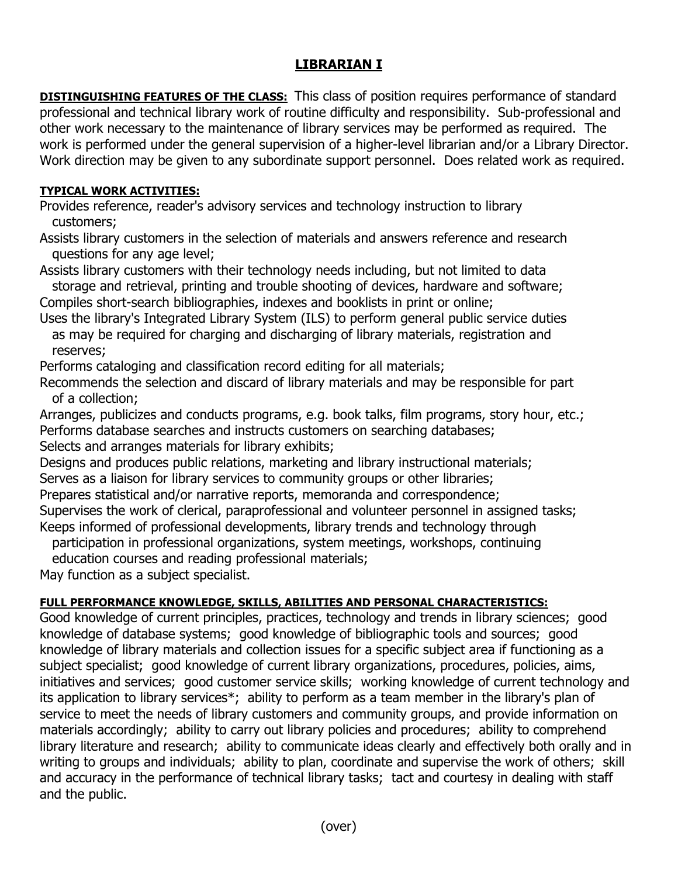## **LIBRARIAN I**

**DISTINGUISHING FEATURES OF THE CLASS:** This class of position requires performance of standard professional and technical library work of routine difficulty and responsibility. Sub-professional and other work necessary to the maintenance of library services may be performed as required. The work is performed under the general supervision of a higher-level librarian and/or a Library Director. Work direction may be given to any subordinate support personnel. Does related work as required.

## **TYPICAL WORK ACTIVITIES:**

Provides reference, reader's advisory services and technology instruction to library customers;

Assists library customers in the selection of materials and answers reference and research questions for any age level;

Assists library customers with their technology needs including, but not limited to data storage and retrieval, printing and trouble shooting of devices, hardware and software; Compiles short-search bibliographies, indexes and booklists in print or online;

Uses the library's Integrated Library System (ILS) to perform general public service duties as may be required for charging and discharging of library materials, registration and reserves;

Performs cataloging and classification record editing for all materials;

Recommends the selection and discard of library materials and may be responsible for part of a collection;

Arranges, publicizes and conducts programs, e.g. book talks, film programs, story hour, etc.; Performs database searches and instructs customers on searching databases; Selects and arranges materials for library exhibits;

Designs and produces public relations, marketing and library instructional materials;

Serves as a liaison for library services to community groups or other libraries;

Prepares statistical and/or narrative reports, memoranda and correspondence;

Supervises the work of clerical, paraprofessional and volunteer personnel in assigned tasks; Keeps informed of professional developments, library trends and technology through

participation in professional organizations, system meetings, workshops, continuing

education courses and reading professional materials;

May function as a subject specialist.

## **FULL PERFORMANCE KNOWLEDGE, SKILLS, ABILITIES AND PERSONAL CHARACTERISTICS:**

Good knowledge of current principles, practices, technology and trends in library sciences; good knowledge of database systems; good knowledge of bibliographic tools and sources; good knowledge of library materials and collection issues for a specific subject area if functioning as a subject specialist; good knowledge of current library organizations, procedures, policies, aims, initiatives and services; good customer service skills; working knowledge of current technology and its application to library services\*; ability to perform as a team member in the library's plan of service to meet the needs of library customers and community groups, and provide information on materials accordingly; ability to carry out library policies and procedures; ability to comprehend library literature and research; ability to communicate ideas clearly and effectively both orally and in writing to groups and individuals; ability to plan, coordinate and supervise the work of others; skill and accuracy in the performance of technical library tasks; tact and courtesy in dealing with staff and the public.